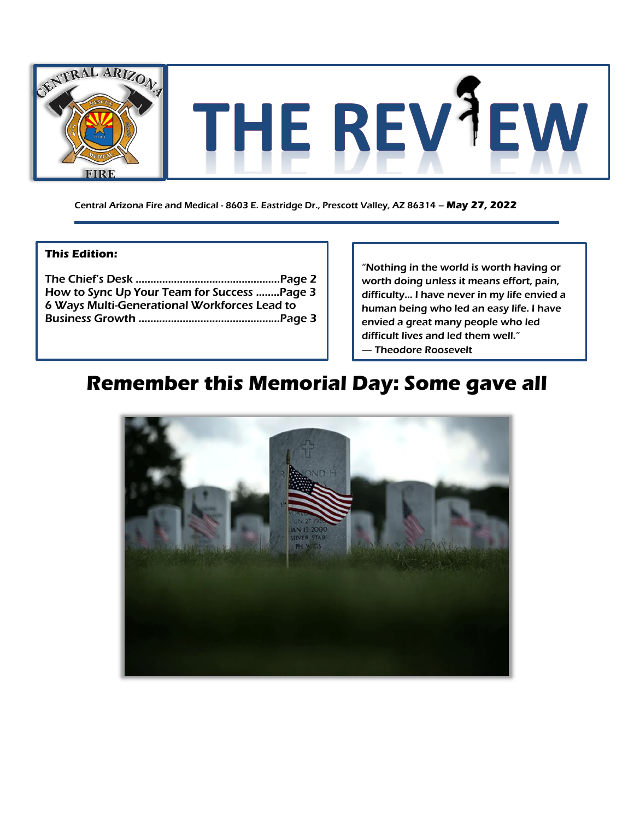

Central Arizona Fire and Medical - 8603 E. Eastridge Dr., Prescott Valley, AZ 86314 – **May 27, 2022**

### **This Edition:**

| How to Sync Up Your Team for Success Page 3  |  |
|----------------------------------------------|--|
| 6 Ways Multi-Generational Workforces Lead to |  |
|                                              |  |
|                                              |  |

"Nothing in the world is worth having or worth doing unless it means effort, pain, difficulty… I have never in my life envied a human being who led an easy life. I have envied a great many people who led difficult lives and led them well." ― Theodore Roosevelt

# **Remember this Memorial Day: Some gave all**

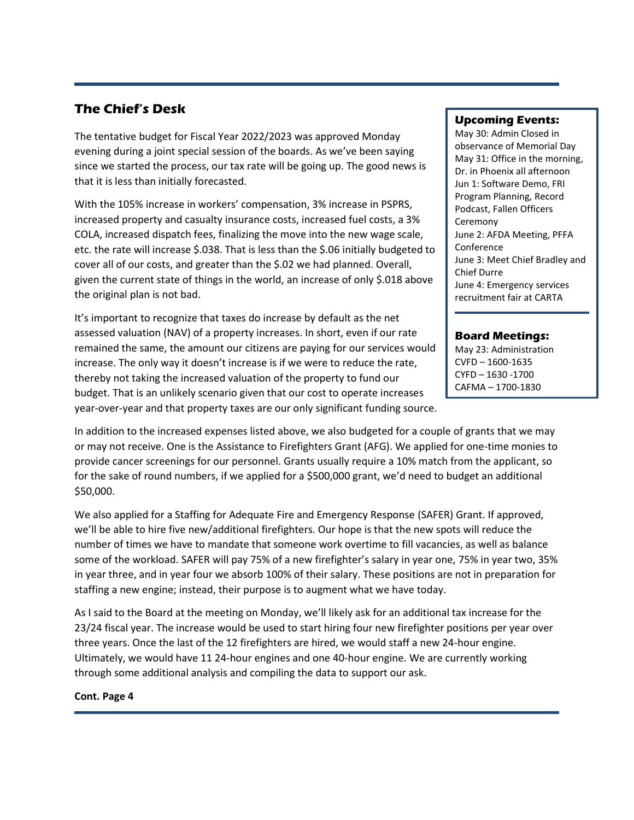# **The Chief's Desk**

The tentative budget for Fiscal Year 2022/2023 was approved Monday evening during a joint special session of the boards. As we've been saying since we started the process, our tax rate will be going up. The good news is that it is less than initially forecasted.

With the 105% increase in workers' compensation, 3% increase in PSPRS, increased property and casualty insurance costs, increased fuel costs, a 3% COLA, increased dispatch fees, finalizing the move into the new wage scale, etc. the rate will increase \$.038. That is less than the \$.06 initially budgeted to cover all of our costs, and greater than the \$.02 we had planned. Overall, given the current state of things in the world, an increase of only \$.018 above the original plan is not bad.

It's important to recognize that taxes do increase by default as the net assessed valuation (NAV) of a property increases. In short, even if our rate remained the same, the amount our citizens are paying for our services would increase. The only way it doesn't increase is if we were to reduce the rate, thereby not taking the increased valuation of the property to fund our budget. That is an unlikely scenario given that our cost to operate increases year-over-year and that property taxes are our only significant funding source.

### **Upcoming Events:**

May 30: Admin Closed in observance of Memorial Day May 31: Office in the morning, Dr. in Phoenix all afternoon Jun 1: Software Demo, FRI Program Planning, Record Podcast, Fallen Officers Ceremony June 2: AFDA Meeting, PFFA Conference June 3: Meet Chief Bradley and Chief Durre June 4: Emergency services recruitment fair at CARTA

#### **Board Meetings:**

May 23: Administration CVFD – 1600-1635 CYFD – 1630 -1700 CAFMA – 1700-1830

In addition to the increased expenses listed above, we also budgeted for a couple of grants that we may or may not receive. One is the Assistance to Firefighters Grant (AFG). We applied for one-time monies to provide cancer screenings for our personnel. Grants usually require a 10% match from the applicant, so for the sake of round numbers, if we applied for a \$500,000 grant, we'd need to budget an additional \$50,000.

We also applied for a Staffing for Adequate Fire and Emergency Response (SAFER) Grant. If approved, we'll be able to hire five new/additional firefighters. Our hope is that the new spots will reduce the number of times we have to mandate that someone work overtime to fill vacancies, as well as balance some of the workload. SAFER will pay 75% of a new firefighter's salary in year one, 75% in year two, 35% in year three, and in year four we absorb 100% of their salary. These positions are not in preparation for staffing a new engine; instead, their purpose is to augment what we have today.

As I said to the Board at the meeting on Monday, we'll likely ask for an additional tax increase for the 23/24 fiscal year. The increase would be used to start hiring four new firefighter positions per year over three years. Once the last of the 12 firefighters are hired, we would staff a new 24-hour engine. Ultimately, we would have 11 24-hour engines and one 40-hour engine. We are currently working through some additional analysis and compiling the data to support our ask.

#### **Cont. Page 4**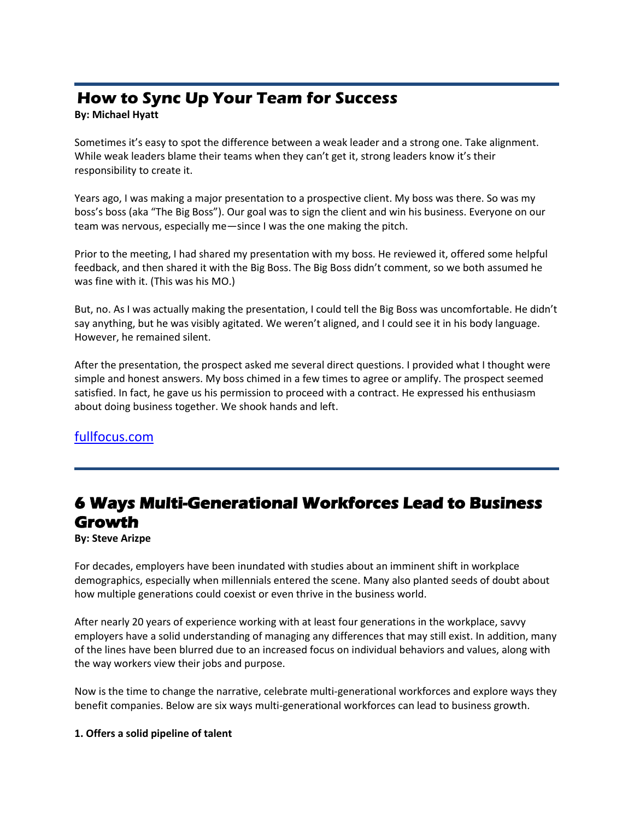# **How to Sync Up Your Team for Success**

### **By: Michael Hyatt**

Sometimes it's easy to spot the difference between a weak leader and a strong one. Take alignment. While weak leaders blame their teams when they can't get it, strong leaders know it's their responsibility to create it.

Years ago, I was making a major presentation to a prospective client. My boss was there. So was my boss's boss (aka "The Big Boss"). Our goal was to sign the client and win his business. Everyone on our team was nervous, especially me—since I was the one making the pitch.

Prior to the meeting, I had shared my presentation with my boss. He reviewed it, offered some helpful feedback, and then shared it with the Big Boss. The Big Boss didn't comment, so we both assumed he was fine with it. (This was his MO.)

But, no. As I was actually making the presentation, I could tell the Big Boss was uncomfortable. He didn't say anything, but he was visibly agitated. We weren't aligned, and I could see it in his body language. However, he remained silent.

After the presentation, the prospect asked me several direct questions. I provided what I thought were simple and honest answers. My boss chimed in a few times to agree or amplify. The prospect seemed satisfied. In fact, he gave us his permission to proceed with a contract. He expressed his enthusiasm about doing business together. We shook hands and left.

## [fullfocus.com](https://fullfocus.co/alignment-sync-success/)

# **6 Ways Multi-Generational Workforces Lead to Business Growth**

**By: Steve Arizpe**

For decades, employers have been inundated with studies about an imminent shift in workplace demographics, especially when millennials entered the scene. Many also planted seeds of doubt about how multiple generations could coexist or even thrive in the business world.

After nearly 20 years of experience working with at least four generations in the workplace, savvy employers have a solid understanding of managing any differences that may still exist. In addition, many of the lines have been blurred due to an increased focus on individual behaviors and values, along with the way workers view their jobs and purpose.

Now is the time to change the narrative, celebrate multi-generational workforces and explore ways they benefit companies. Below are six ways multi-generational workforces can lead to business growth.

### **1. Offers a solid pipeline of talent**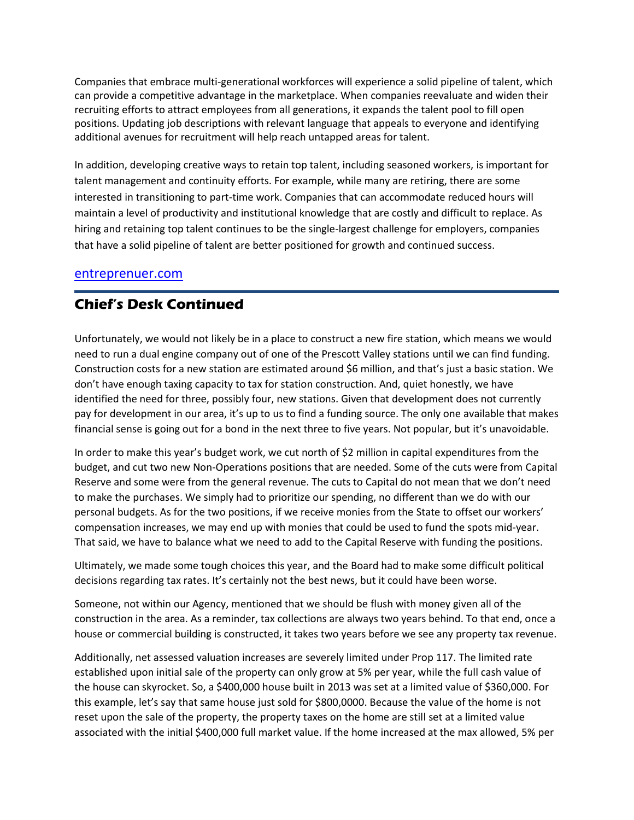Companies that embrace multi-generational workforces will experience a solid pipeline of talent, which can provide a competitive advantage in the marketplace. When companies reevaluate and widen their recruiting efforts to attract employees from all generations, it expands the talent pool to fill open positions. Updating job descriptions with relevant language that appeals to everyone and identifying additional avenues for recruitment will help reach untapped areas for talent.

In addition, developing creative ways to retain top talent, including seasoned workers, is important for talent management and continuity efforts. For example, while many are retiring, there are some interested in transitioning to part-time work. Companies that can accommodate reduced hours will maintain a level of productivity and institutional knowledge that are costly and difficult to replace. As hiring and retaining top talent continues to be the single-largest challenge for employers, companies that have a solid pipeline of talent are better positioned for growth and continued success.

## [entreprenuer.com](https://www.entrepreneur.com/article/425151)

## **Chief's Desk Continued**

Unfortunately, we would not likely be in a place to construct a new fire station, which means we would need to run a dual engine company out of one of the Prescott Valley stations until we can find funding. Construction costs for a new station are estimated around \$6 million, and that's just a basic station. We don't have enough taxing capacity to tax for station construction. And, quiet honestly, we have identified the need for three, possibly four, new stations. Given that development does not currently pay for development in our area, it's up to us to find a funding source. The only one available that makes financial sense is going out for a bond in the next three to five years. Not popular, but it's unavoidable.

In order to make this year's budget work, we cut north of \$2 million in capital expenditures from the budget, and cut two new Non-Operations positions that are needed. Some of the cuts were from Capital Reserve and some were from the general revenue. The cuts to Capital do not mean that we don't need to make the purchases. We simply had to prioritize our spending, no different than we do with our personal budgets. As for the two positions, if we receive monies from the State to offset our workers' compensation increases, we may end up with monies that could be used to fund the spots mid-year. That said, we have to balance what we need to add to the Capital Reserve with funding the positions.

Ultimately, we made some tough choices this year, and the Board had to make some difficult political decisions regarding tax rates. It's certainly not the best news, but it could have been worse.

Someone, not within our Agency, mentioned that we should be flush with money given all of the construction in the area. As a reminder, tax collections are always two years behind. To that end, once a house or commercial building is constructed, it takes two years before we see any property tax revenue.

Additionally, net assessed valuation increases are severely limited under Prop 117. The limited rate established upon initial sale of the property can only grow at 5% per year, while the full cash value of the house can skyrocket. So, a \$400,000 house built in 2013 was set at a limited value of \$360,000. For this example, let's say that same house just sold for \$800,0000. Because the value of the home is not reset upon the sale of the property, the property taxes on the home are still set at a limited value associated with the initial \$400,000 full market value. If the home increased at the max allowed, 5% per